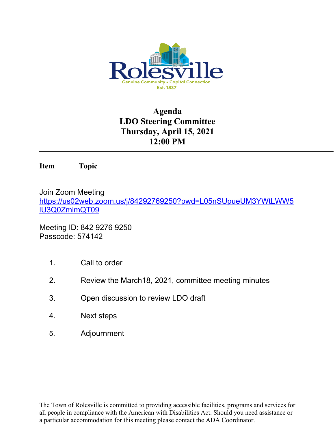

# **Agenda LDO Steering Committee Thursday, April 15, 2021 12:00 PM**

**Item Topic**

Join Zoom Meeting [https://us02web.zoom.us/j/84292769250?pwd=L05nSUpueUM3YWtLWW5](https://us02web.zoom.us/j/84292769250?pwd=L05nSUpueUM3YWtLWW5lU3Q0ZmlmQT09) [lU3Q0ZmlmQT09](https://us02web.zoom.us/j/84292769250?pwd=L05nSUpueUM3YWtLWW5lU3Q0ZmlmQT09)

Meeting ID: 842 9276 9250 Passcode: 574142

- 1. Call to order
- 2. Review the March18, 2021, committee meeting minutes
- 3. Open discussion to review LDO draft
- 4. Next steps
- 5. Adjournment

The Town of Rolesville is committed to providing accessible facilities, programs and services for all people in compliance with the American with Disabilities Act. Should you need assistance or a particular accommodation for this meeting please contact the ADA Coordinator.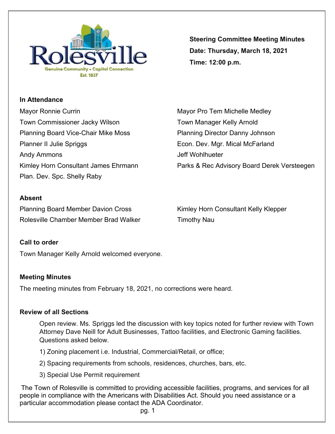

**Steering Committee Meeting Minutes Date: Thursday, March 18, 2021 Time: 12:00 p.m.**

**In Attendance** Mayor Ronnie Currin **Mayor Pro Tem Michelle Medley** Mayor Pro Tem Michelle Medley Town Commissioner Jacky Wilson Town Manager Kelly Arnold Planning Board Vice-Chair Mike Moss Planning Director Danny Johnson Planner II Julie Spriggs **Econ. Dev. Mgr. Mical McFarland** Andy Ammons and a settlement of the state of the Mohlhueter and Jeff Wohlhueter

Plan. Dev. Spc. Shelly Raby

Kimley Horn Consultant James Ehrmann Parks & Rec Advisory Board Derek Versteegen

# **Absent**

Planning Board Member Davion Cross Kimley Horn Consultant Kelly Klepper Rolesville Chamber Member Brad Walker Timothy Nau

### **Call to order**

Town Manager Kelly Arnold welcomed everyone.

### **Meeting Minutes**

The meeting minutes from February 18, 2021, no corrections were heard.

#### **Review of all Sections**

Open review. Ms. Spriggs led the discussion with key topics noted for further review with Town Attorney Dave Neill for Adult Businesses, Tattoo facilities, and Electronic Gaming facilities. Questions asked below.

1) Zoning placement i.e. Industrial, Commercial/Retail, or office;

2) Spacing requirements from schools, residences, churches, bars, etc.

3) Special Use Permit requirement

The Town of Rolesville is committed to providing accessible facilities, programs, and services for all people in compliance with the Americans with Disabilities Act. Should you need assistance or a particular accommodation please contact the ADA Coordinator.

pg. 1